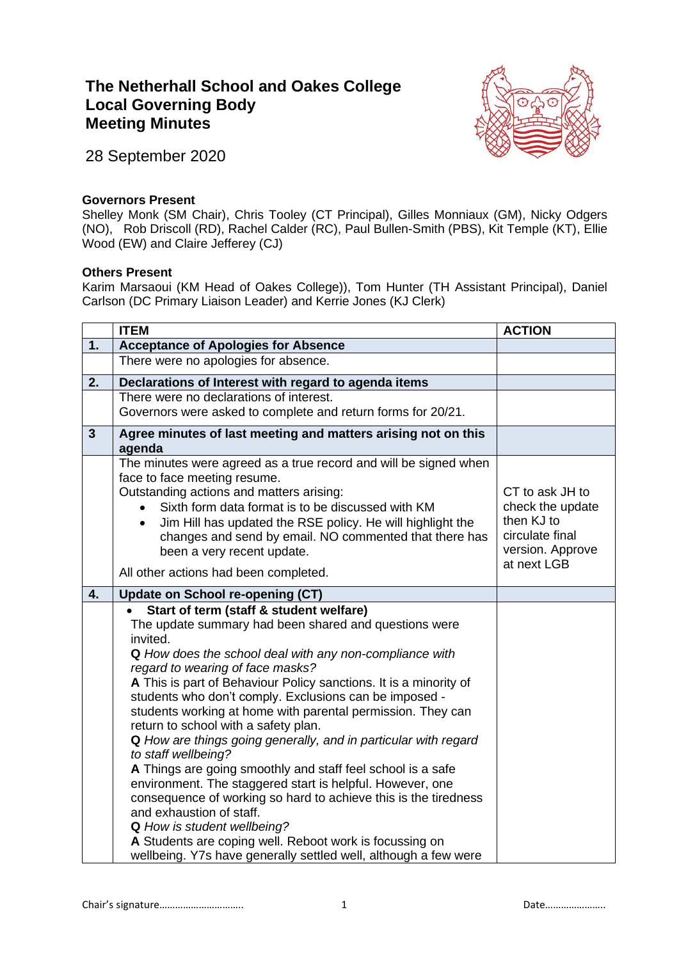## **The Netherhall School and Oakes College Local Governing Body Meeting Minutes**



28 September 2020

## **Governors Present**

Shelley Monk (SM Chair), Chris Tooley (CT Principal), Gilles Monniaux (GM), Nicky Odgers (NO), Rob Driscoll (RD), Rachel Calder (RC), Paul Bullen-Smith (PBS), Kit Temple (KT), Ellie Wood (EW) and Claire Jefferey (CJ)

## **Others Present**

Karim Marsaoui (KM Head of Oakes College)), Tom Hunter (TH Assistant Principal), Daniel Carlson (DC Primary Liaison Leader) and Kerrie Jones (KJ Clerk)

|                | <b>ITEM</b>                                                                                                                                                                                                                                                                                                                                                                                                                                                                                                                                                                                                                                                                                                                                                                                                                                                                                                                         | <b>ACTION</b>                                                                                           |
|----------------|-------------------------------------------------------------------------------------------------------------------------------------------------------------------------------------------------------------------------------------------------------------------------------------------------------------------------------------------------------------------------------------------------------------------------------------------------------------------------------------------------------------------------------------------------------------------------------------------------------------------------------------------------------------------------------------------------------------------------------------------------------------------------------------------------------------------------------------------------------------------------------------------------------------------------------------|---------------------------------------------------------------------------------------------------------|
| 1.             | <b>Acceptance of Apologies for Absence</b>                                                                                                                                                                                                                                                                                                                                                                                                                                                                                                                                                                                                                                                                                                                                                                                                                                                                                          |                                                                                                         |
|                | There were no apologies for absence.                                                                                                                                                                                                                                                                                                                                                                                                                                                                                                                                                                                                                                                                                                                                                                                                                                                                                                |                                                                                                         |
| 2.             | Declarations of Interest with regard to agenda items                                                                                                                                                                                                                                                                                                                                                                                                                                                                                                                                                                                                                                                                                                                                                                                                                                                                                |                                                                                                         |
|                | There were no declarations of interest.                                                                                                                                                                                                                                                                                                                                                                                                                                                                                                                                                                                                                                                                                                                                                                                                                                                                                             |                                                                                                         |
|                | Governors were asked to complete and return forms for 20/21.                                                                                                                                                                                                                                                                                                                                                                                                                                                                                                                                                                                                                                                                                                                                                                                                                                                                        |                                                                                                         |
| $\overline{3}$ | Agree minutes of last meeting and matters arising not on this<br>agenda                                                                                                                                                                                                                                                                                                                                                                                                                                                                                                                                                                                                                                                                                                                                                                                                                                                             |                                                                                                         |
|                | The minutes were agreed as a true record and will be signed when<br>face to face meeting resume.<br>Outstanding actions and matters arising:<br>Sixth form data format is to be discussed with KM<br>Jim Hill has updated the RSE policy. He will highlight the<br>$\bullet$<br>changes and send by email. NO commented that there has<br>been a very recent update.                                                                                                                                                                                                                                                                                                                                                                                                                                                                                                                                                                | CT to ask JH to<br>check the update<br>then KJ to<br>circulate final<br>version. Approve<br>at next LGB |
|                | All other actions had been completed.                                                                                                                                                                                                                                                                                                                                                                                                                                                                                                                                                                                                                                                                                                                                                                                                                                                                                               |                                                                                                         |
| 4.             | <b>Update on School re-opening (CT)</b>                                                                                                                                                                                                                                                                                                                                                                                                                                                                                                                                                                                                                                                                                                                                                                                                                                                                                             |                                                                                                         |
|                | Start of term (staff & student welfare)<br>The update summary had been shared and questions were<br>invited.<br>Q How does the school deal with any non-compliance with<br>regard to wearing of face masks?<br>A This is part of Behaviour Policy sanctions. It is a minority of<br>students who don't comply. Exclusions can be imposed -<br>students working at home with parental permission. They can<br>return to school with a safety plan.<br>Q How are things going generally, and in particular with regard<br>to staff wellbeing?<br>A Things are going smoothly and staff feel school is a safe<br>environment. The staggered start is helpful. However, one<br>consequence of working so hard to achieve this is the tiredness<br>and exhaustion of staff.<br>Q How is student wellbeing?<br>A Students are coping well. Reboot work is focussing on<br>wellbeing. Y7s have generally settled well, although a few were |                                                                                                         |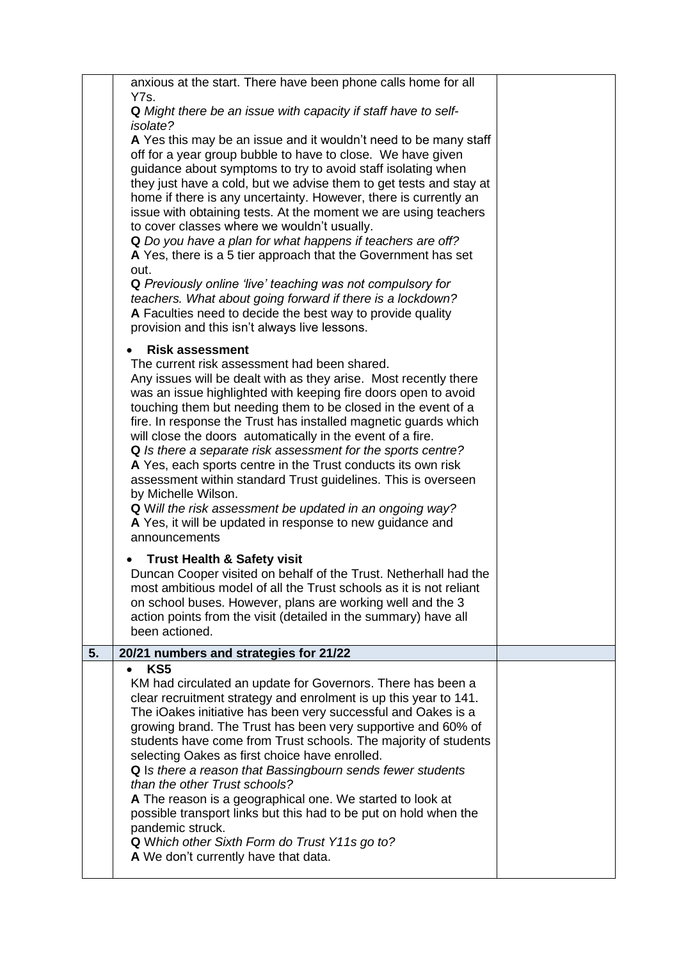|    | anxious at the start. There have been phone calls home for all<br>Y7s.<br>Q Might there be an issue with capacity if staff have to self-<br><i>isolate?</i><br>A Yes this may be an issue and it wouldn't need to be many staff<br>off for a year group bubble to have to close. We have given<br>guidance about symptoms to try to avoid staff isolating when<br>they just have a cold, but we advise them to get tests and stay at<br>home if there is any uncertainty. However, there is currently an<br>issue with obtaining tests. At the moment we are using teachers<br>to cover classes where we wouldn't usually.<br>Q Do you have a plan for what happens if teachers are off?                                                                                         |  |
|----|----------------------------------------------------------------------------------------------------------------------------------------------------------------------------------------------------------------------------------------------------------------------------------------------------------------------------------------------------------------------------------------------------------------------------------------------------------------------------------------------------------------------------------------------------------------------------------------------------------------------------------------------------------------------------------------------------------------------------------------------------------------------------------|--|
|    | A Yes, there is a 5 tier approach that the Government has set<br>out.<br>Q Previously online 'live' teaching was not compulsory for<br>teachers. What about going forward if there is a lockdown?<br>A Faculties need to decide the best way to provide quality<br>provision and this isn't always live lessons.                                                                                                                                                                                                                                                                                                                                                                                                                                                                 |  |
|    | <b>Risk assessment</b><br>The current risk assessment had been shared.<br>Any issues will be dealt with as they arise. Most recently there<br>was an issue highlighted with keeping fire doors open to avoid<br>touching them but needing them to be closed in the event of a<br>fire. In response the Trust has installed magnetic guards which<br>will close the doors automatically in the event of a fire.<br>Q Is there a separate risk assessment for the sports centre?<br>A Yes, each sports centre in the Trust conducts its own risk<br>assessment within standard Trust guidelines. This is overseen<br>by Michelle Wilson.<br>Q Will the risk assessment be updated in an ongoing way?<br>A Yes, it will be updated in response to new guidance and<br>announcements |  |
|    | <b>Trust Health &amp; Safety visit</b><br>Duncan Cooper visited on behalf of the Trust. Netherhall had the<br>most ambitious model of all the Trust schools as it is not reliant<br>on school buses. However, plans are working well and the 3<br>action points from the visit (detailed in the summary) have all<br>been actioned.                                                                                                                                                                                                                                                                                                                                                                                                                                              |  |
| 5. | 20/21 numbers and strategies for 21/22                                                                                                                                                                                                                                                                                                                                                                                                                                                                                                                                                                                                                                                                                                                                           |  |
|    | KS <sub>5</sub><br>KM had circulated an update for Governors. There has been a<br>clear recruitment strategy and enrolment is up this year to 141.<br>The iOakes initiative has been very successful and Oakes is a<br>growing brand. The Trust has been very supportive and 60% of<br>students have come from Trust schools. The majority of students<br>selecting Oakes as first choice have enrolled.<br>Q Is there a reason that Bassingbourn sends fewer students<br>than the other Trust schools?<br>A The reason is a geographical one. We started to look at<br>possible transport links but this had to be put on hold when the<br>pandemic struck.<br>Q Which other Sixth Form do Trust Y11s go to?<br>A We don't currently have that data.                            |  |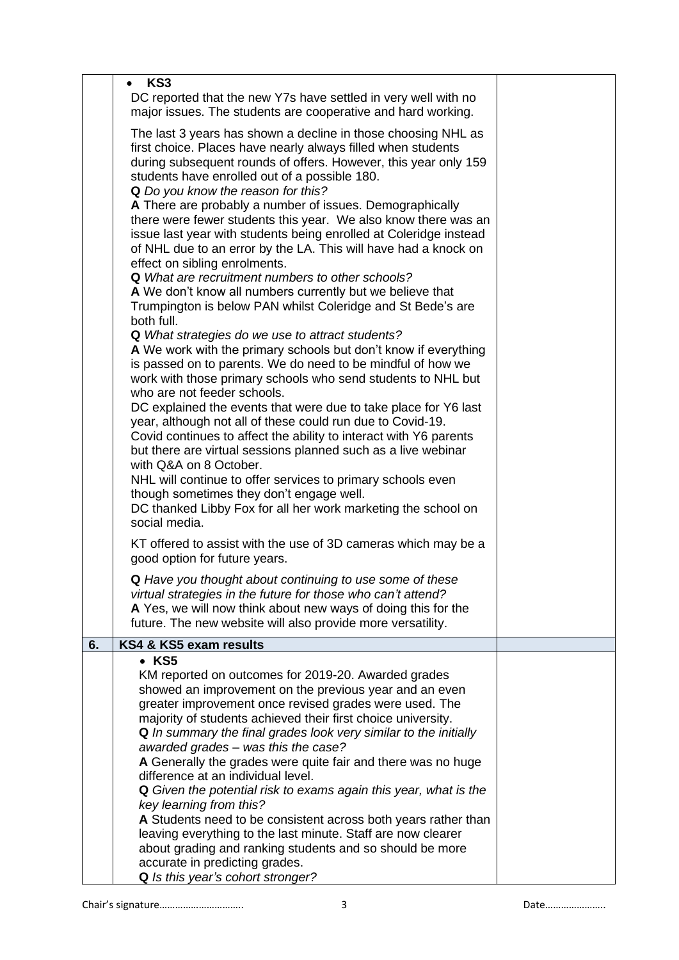|    | KS3<br>$\bullet$                                                                                                                                                                                                                                                                                                                                                                                                                                                                                                                                                                                                                                                                                                                                                                                                                                                                                                                                                                                                                                                                                                                                                                                                                                                                                                                                                                                                                                                                                                                                                                       |  |
|----|----------------------------------------------------------------------------------------------------------------------------------------------------------------------------------------------------------------------------------------------------------------------------------------------------------------------------------------------------------------------------------------------------------------------------------------------------------------------------------------------------------------------------------------------------------------------------------------------------------------------------------------------------------------------------------------------------------------------------------------------------------------------------------------------------------------------------------------------------------------------------------------------------------------------------------------------------------------------------------------------------------------------------------------------------------------------------------------------------------------------------------------------------------------------------------------------------------------------------------------------------------------------------------------------------------------------------------------------------------------------------------------------------------------------------------------------------------------------------------------------------------------------------------------------------------------------------------------|--|
|    | DC reported that the new Y7s have settled in very well with no<br>major issues. The students are cooperative and hard working.                                                                                                                                                                                                                                                                                                                                                                                                                                                                                                                                                                                                                                                                                                                                                                                                                                                                                                                                                                                                                                                                                                                                                                                                                                                                                                                                                                                                                                                         |  |
|    | The last 3 years has shown a decline in those choosing NHL as<br>first choice. Places have nearly always filled when students<br>during subsequent rounds of offers. However, this year only 159<br>students have enrolled out of a possible 180.<br>Q Do you know the reason for this?<br>A There are probably a number of issues. Demographically<br>there were fewer students this year. We also know there was an<br>issue last year with students being enrolled at Coleridge instead<br>of NHL due to an error by the LA. This will have had a knock on<br>effect on sibling enrolments.<br><b>Q</b> What are recruitment numbers to other schools?<br>A We don't know all numbers currently but we believe that<br>Trumpington is below PAN whilst Coleridge and St Bede's are<br>both full.<br>Q What strategies do we use to attract students?<br>A We work with the primary schools but don't know if everything<br>is passed on to parents. We do need to be mindful of how we<br>work with those primary schools who send students to NHL but<br>who are not feeder schools.<br>DC explained the events that were due to take place for Y6 last<br>year, although not all of these could run due to Covid-19.<br>Covid continues to affect the ability to interact with Y6 parents<br>but there are virtual sessions planned such as a live webinar<br>with Q&A on 8 October.<br>NHL will continue to offer services to primary schools even<br>though sometimes they don't engage well.<br>DC thanked Libby Fox for all her work marketing the school on<br>social media. |  |
|    | KT offered to assist with the use of 3D cameras which may be a<br>good option for future years.                                                                                                                                                                                                                                                                                                                                                                                                                                                                                                                                                                                                                                                                                                                                                                                                                                                                                                                                                                                                                                                                                                                                                                                                                                                                                                                                                                                                                                                                                        |  |
|    | Q Have you thought about continuing to use some of these<br>virtual strategies in the future for those who can't attend?<br>A Yes, we will now think about new ways of doing this for the<br>future. The new website will also provide more versatility.                                                                                                                                                                                                                                                                                                                                                                                                                                                                                                                                                                                                                                                                                                                                                                                                                                                                                                                                                                                                                                                                                                                                                                                                                                                                                                                               |  |
| 6. | KS4 & KS5 exam results                                                                                                                                                                                                                                                                                                                                                                                                                                                                                                                                                                                                                                                                                                                                                                                                                                                                                                                                                                                                                                                                                                                                                                                                                                                                                                                                                                                                                                                                                                                                                                 |  |
|    | $\bullet$ KS5<br>KM reported on outcomes for 2019-20. Awarded grades                                                                                                                                                                                                                                                                                                                                                                                                                                                                                                                                                                                                                                                                                                                                                                                                                                                                                                                                                                                                                                                                                                                                                                                                                                                                                                                                                                                                                                                                                                                   |  |
|    | showed an improvement on the previous year and an even<br>greater improvement once revised grades were used. The<br>majority of students achieved their first choice university.<br>Q In summary the final grades look very similar to the initially<br>awarded grades - was this the case?                                                                                                                                                                                                                                                                                                                                                                                                                                                                                                                                                                                                                                                                                                                                                                                                                                                                                                                                                                                                                                                                                                                                                                                                                                                                                            |  |
|    | A Generally the grades were quite fair and there was no huge<br>difference at an individual level.<br>Q Given the potential risk to exams again this year, what is the                                                                                                                                                                                                                                                                                                                                                                                                                                                                                                                                                                                                                                                                                                                                                                                                                                                                                                                                                                                                                                                                                                                                                                                                                                                                                                                                                                                                                 |  |
|    | key learning from this?<br>A Students need to be consistent across both years rather than<br>leaving everything to the last minute. Staff are now clearer<br>about grading and ranking students and so should be more<br>accurate in predicting grades.                                                                                                                                                                                                                                                                                                                                                                                                                                                                                                                                                                                                                                                                                                                                                                                                                                                                                                                                                                                                                                                                                                                                                                                                                                                                                                                                |  |
|    | Q Is this year's cohort stronger?                                                                                                                                                                                                                                                                                                                                                                                                                                                                                                                                                                                                                                                                                                                                                                                                                                                                                                                                                                                                                                                                                                                                                                                                                                                                                                                                                                                                                                                                                                                                                      |  |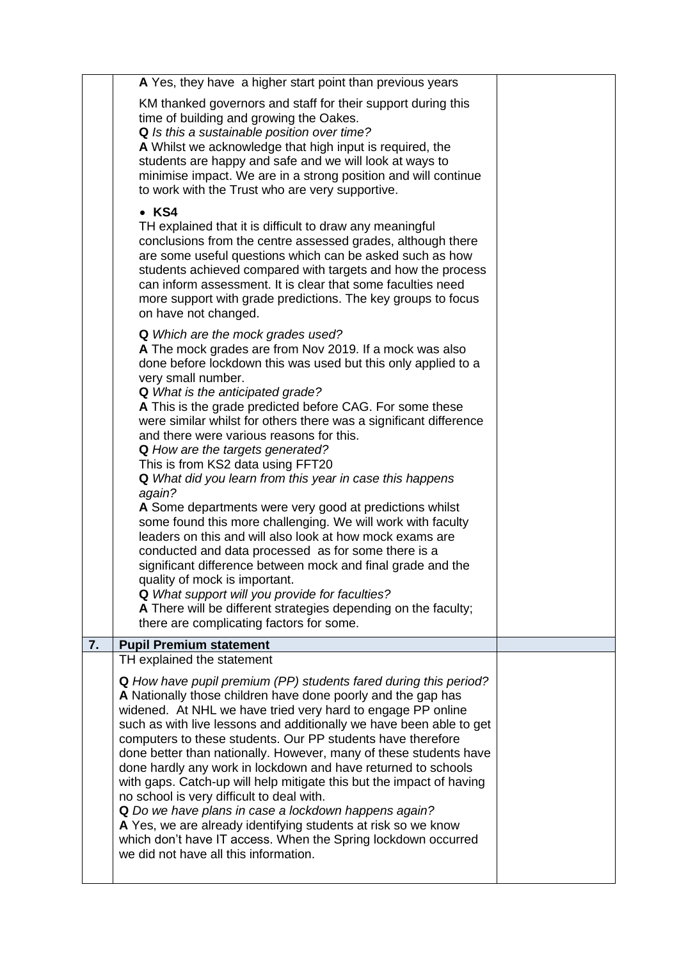|                                                                                                               | A Yes, they have a higher start point than previous years                                                                          |  |
|---------------------------------------------------------------------------------------------------------------|------------------------------------------------------------------------------------------------------------------------------------|--|
|                                                                                                               |                                                                                                                                    |  |
|                                                                                                               | KM thanked governors and staff for their support during this<br>time of building and growing the Oakes.                            |  |
|                                                                                                               | Q Is this a sustainable position over time?                                                                                        |  |
|                                                                                                               | A Whilst we acknowledge that high input is required, the                                                                           |  |
|                                                                                                               | students are happy and safe and we will look at ways to                                                                            |  |
|                                                                                                               | minimise impact. We are in a strong position and will continue                                                                     |  |
|                                                                                                               | to work with the Trust who are very supportive.                                                                                    |  |
|                                                                                                               | $\bullet$ KS4                                                                                                                      |  |
|                                                                                                               | TH explained that it is difficult to draw any meaningful                                                                           |  |
|                                                                                                               | conclusions from the centre assessed grades, although there<br>are some useful questions which can be asked such as how            |  |
|                                                                                                               | students achieved compared with targets and how the process                                                                        |  |
|                                                                                                               | can inform assessment. It is clear that some faculties need                                                                        |  |
|                                                                                                               | more support with grade predictions. The key groups to focus                                                                       |  |
|                                                                                                               | on have not changed.                                                                                                               |  |
|                                                                                                               | <b>Q</b> Which are the mock grades used?                                                                                           |  |
|                                                                                                               | A The mock grades are from Nov 2019. If a mock was also<br>done before lockdown this was used but this only applied to a           |  |
|                                                                                                               | very small number.                                                                                                                 |  |
|                                                                                                               | Q What is the anticipated grade?                                                                                                   |  |
|                                                                                                               | A This is the grade predicted before CAG. For some these                                                                           |  |
| were similar whilst for others there was a significant difference<br>and there were various reasons for this. |                                                                                                                                    |  |
|                                                                                                               | Q How are the targets generated?                                                                                                   |  |
|                                                                                                               | This is from KS2 data using FFT20                                                                                                  |  |
|                                                                                                               | Q What did you learn from this year in case this happens                                                                           |  |
|                                                                                                               | again?                                                                                                                             |  |
|                                                                                                               | A Some departments were very good at predictions whilst<br>some found this more challenging. We will work with faculty             |  |
|                                                                                                               | leaders on this and will also look at how mock exams are                                                                           |  |
|                                                                                                               | conducted and data processed as for some there is a                                                                                |  |
|                                                                                                               | significant difference between mock and final grade and the                                                                        |  |
|                                                                                                               | quality of mock is important.<br>Q What support will you provide for faculties?                                                    |  |
|                                                                                                               | A There will be different strategies depending on the faculty;                                                                     |  |
|                                                                                                               | there are complicating factors for some.                                                                                           |  |
| 7.                                                                                                            | <b>Pupil Premium statement</b>                                                                                                     |  |
|                                                                                                               | TH explained the statement                                                                                                         |  |
|                                                                                                               | <b>Q</b> How have pupil premium (PP) students fared during this period?                                                            |  |
|                                                                                                               | A Nationally those children have done poorly and the gap has                                                                       |  |
|                                                                                                               | widened. At NHL we have tried very hard to engage PP online                                                                        |  |
|                                                                                                               | such as with live lessons and additionally we have been able to get<br>computers to these students. Our PP students have therefore |  |
|                                                                                                               | done better than nationally. However, many of these students have                                                                  |  |
|                                                                                                               | done hardly any work in lockdown and have returned to schools                                                                      |  |
|                                                                                                               | with gaps. Catch-up will help mitigate this but the impact of having                                                               |  |
|                                                                                                               | no school is very difficult to deal with.<br>Q Do we have plans in case a lockdown happens again?                                  |  |
|                                                                                                               | A Yes, we are already identifying students at risk so we know                                                                      |  |
|                                                                                                               | which don't have IT access. When the Spring lockdown occurred                                                                      |  |
|                                                                                                               | we did not have all this information.                                                                                              |  |
|                                                                                                               |                                                                                                                                    |  |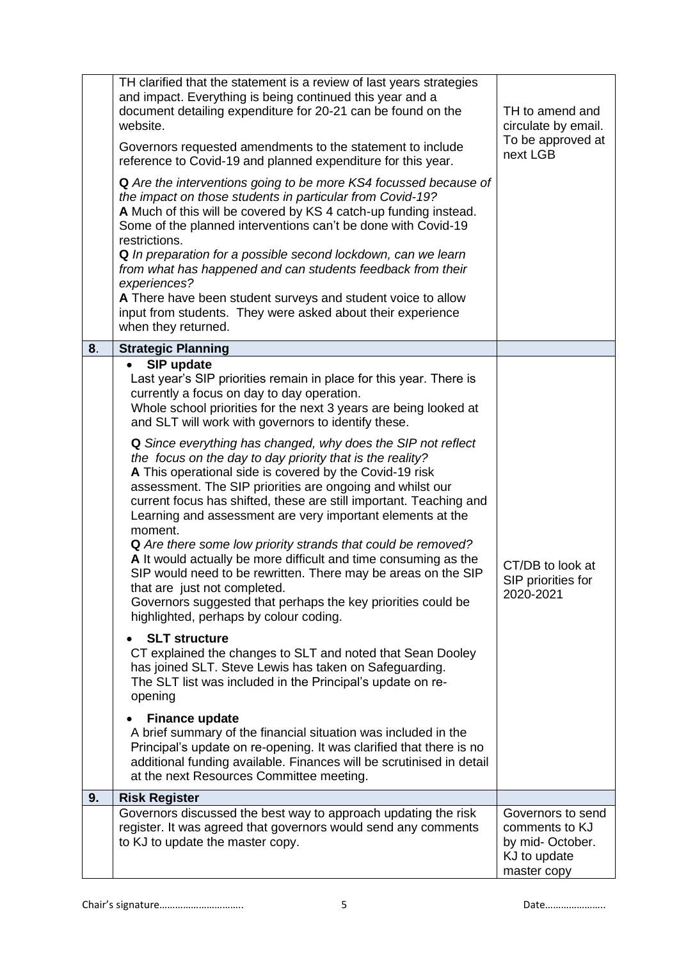|    | TH clarified that the statement is a review of last years strategies<br>and impact. Everything is being continued this year and a<br>document detailing expenditure for 20-21 can be found on the<br>website.<br>Governors requested amendments to the statement to include<br>reference to Covid-19 and planned expenditure for this year.<br>Q Are the interventions going to be more KS4 focussed because of<br>the impact on those students in particular from Covid-19?<br>A Much of this will be covered by KS 4 catch-up funding instead.<br>Some of the planned interventions can't be done with Covid-19<br>restrictions.<br>Q In preparation for a possible second lockdown, can we learn<br>from what has happened and can students feedback from their<br>experiences?<br>A There have been student surveys and student voice to allow<br>input from students. They were asked about their experience<br>when they returned.                                                                                                                                                                                                                                                                                                                                                                                                                                                                                                                                                                                   | TH to amend and<br>circulate by email.<br>To be approved at<br>next LGB               |
|----|----------------------------------------------------------------------------------------------------------------------------------------------------------------------------------------------------------------------------------------------------------------------------------------------------------------------------------------------------------------------------------------------------------------------------------------------------------------------------------------------------------------------------------------------------------------------------------------------------------------------------------------------------------------------------------------------------------------------------------------------------------------------------------------------------------------------------------------------------------------------------------------------------------------------------------------------------------------------------------------------------------------------------------------------------------------------------------------------------------------------------------------------------------------------------------------------------------------------------------------------------------------------------------------------------------------------------------------------------------------------------------------------------------------------------------------------------------------------------------------------------------------------------|---------------------------------------------------------------------------------------|
| 8. | <b>Strategic Planning</b>                                                                                                                                                                                                                                                                                                                                                                                                                                                                                                                                                                                                                                                                                                                                                                                                                                                                                                                                                                                                                                                                                                                                                                                                                                                                                                                                                                                                                                                                                                  |                                                                                       |
|    | SIP update<br>Last year's SIP priorities remain in place for this year. There is<br>currently a focus on day to day operation.<br>Whole school priorities for the next 3 years are being looked at<br>and SLT will work with governors to identify these.<br>Q Since everything has changed, why does the SIP not reflect<br>the focus on the day to day priority that is the reality?<br>A This operational side is covered by the Covid-19 risk<br>assessment. The SIP priorities are ongoing and whilst our<br>current focus has shifted, these are still important. Teaching and<br>Learning and assessment are very important elements at the<br>moment.<br>Q Are there some low priority strands that could be removed?<br>A It would actually be more difficult and time consuming as the<br>SIP would need to be rewritten. There may be areas on the SIP<br>that are just not completed.<br>Governors suggested that perhaps the key priorities could be<br>highlighted, perhaps by colour coding.<br><b>SLT structure</b><br>CT explained the changes to SLT and noted that Sean Dooley<br>has joined SLT. Steve Lewis has taken on Safeguarding.<br>The SLT list was included in the Principal's update on re-<br>opening<br><b>Finance update</b><br>A brief summary of the financial situation was included in the<br>Principal's update on re-opening. It was clarified that there is no<br>additional funding available. Finances will be scrutinised in detail<br>at the next Resources Committee meeting. | CT/DB to look at<br>SIP priorities for<br>2020-2021                                   |
| 9. | <b>Risk Register</b>                                                                                                                                                                                                                                                                                                                                                                                                                                                                                                                                                                                                                                                                                                                                                                                                                                                                                                                                                                                                                                                                                                                                                                                                                                                                                                                                                                                                                                                                                                       |                                                                                       |
|    | Governors discussed the best way to approach updating the risk<br>register. It was agreed that governors would send any comments<br>to KJ to update the master copy.                                                                                                                                                                                                                                                                                                                                                                                                                                                                                                                                                                                                                                                                                                                                                                                                                                                                                                                                                                                                                                                                                                                                                                                                                                                                                                                                                       | Governors to send<br>comments to KJ<br>by mid-October.<br>KJ to update<br>master copy |